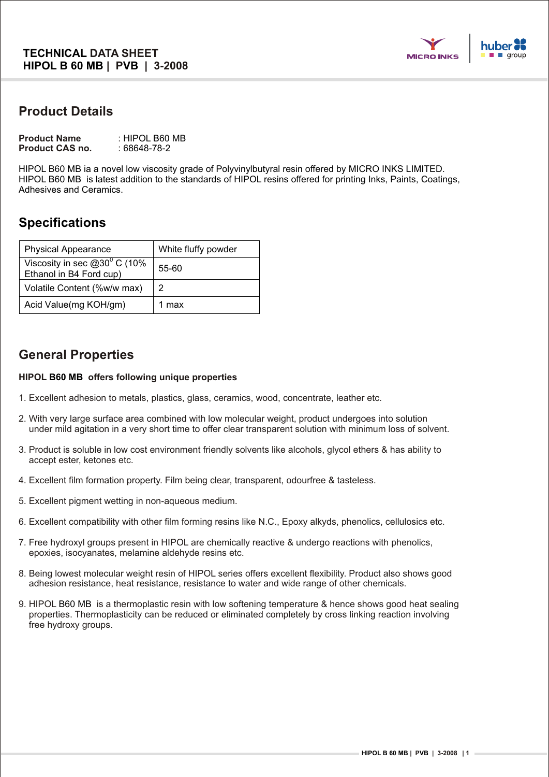

## **Product Details**

| <b>Product Name</b>    | : HIPOL B60 MB |
|------------------------|----------------|
| <b>Product CAS no.</b> | : 68648-78-2   |

HIPOL B60 MB ia a novel low viscosity grade of Polyvinylbutyral resin offered by MICRO INKS LIMITED. HIPOL B60 MB is latest addition to the standards of HIPOL resins offered for printing Inks, Paints, Coatings, Adhesives and Ceramics.

# **Specifications**

| <b>Physical Appearance</b>                                                 | White fluffy powder |
|----------------------------------------------------------------------------|---------------------|
| Viscosity in sec $@30^\circ \overline{C}$ (10%)<br>Ethanol in B4 Ford cup) | 55-60               |
| Volatile Content (%w/w max)                                                | 2                   |
| Acid Value(mg KOH/gm)                                                      | 1 max               |

# **General Properties**

#### **HIPOL offers following unique properties B60 MB**

- 1. Excellent adhesion to metals, plastics, glass, ceramics, wood, concentrate, leather etc.
- 2. With very large surface area combined with low molecular weight, product undergoes into solution under mild agitation in a very short time to offer clear transparent solution with minimum loss of solvent.
- 3. Product is soluble in low cost environment friendly solvents like alcohols, glycol ethers & has ability to accept ester, ketones etc.
- 4. Excellent film formation property. Film being clear, transparent, odourfree & tasteless.
- 5. Excellent pigment wetting in non-aqueous medium.
- 6. Excellent compatibility with other film forming resins like N.C., Epoxy alkyds, phenolics, cellulosics etc.
- 7. Free hydroxyl groups present in HIPOL are chemically reactive & undergo reactions with phenolics, epoxies, isocyanates, melamine aldehyde resins etc.
- 8. Being lowest molecular weight resin of HIPOL series offers excellent flexibility. Product also shows good adhesion resistance, heat resistance, resistance to water and wide range of other chemicals.
- 9. HIPOL B60 MB is a thermoplastic resin with low softening temperature & hence shows good heat sealing properties. Thermoplasticity can be reduced or eliminated completely by cross linking reaction involving free hydroxy groups.